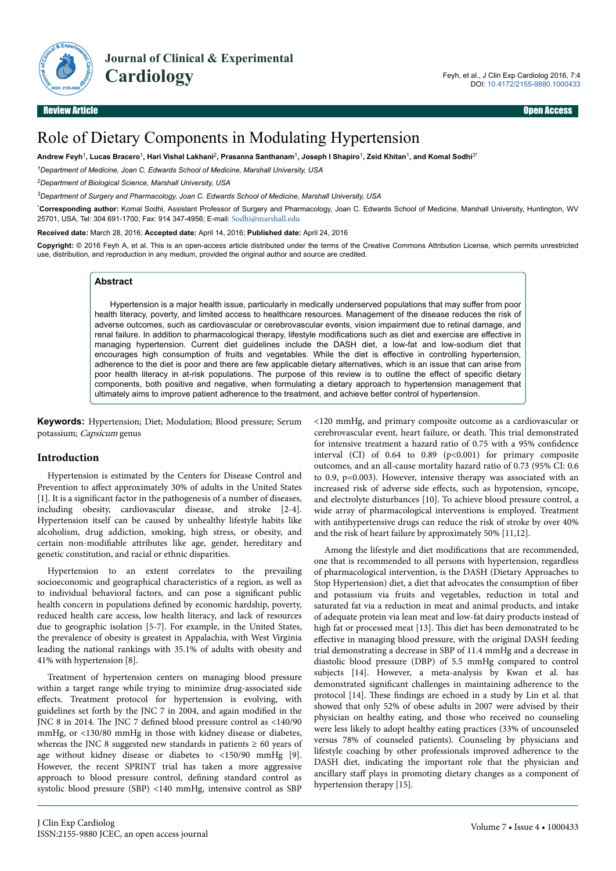

Review Article Open Access

# Role of Dietary Components in Modulating Hypertension

**Andrew Feyh**<sup>1</sup> **, Lucas Bracero**<sup>1</sup> **, Hari Vishal Lakhani**<sup>2</sup> **, Prasanna Santhanam**<sup>1</sup> **, Joseph I Shapiro**<sup>1</sup> **, Zeid Khitan**<sup>1</sup> **, and Komal Sodhi**3\*

*<sup>1</sup>Department of Medicine, Joan C. Edwards School of Medicine, Marshall University, USA*

*<sup>2</sup>Department of Biological Science, Marshall University, USA*

*<sup>3</sup>Department of Surgery and Pharmacology, Joan C. Edwards School of Medicine, Marshall University, USA*

\***Corresponding author:** Komal Sodhi, Assistant Professor of Surgery and Pharmacology, Joan C. Edwards School of Medicine, Marshall University, Huntington, WV 25701, USA, Tel: 304 691-1700; Fax: 914 347-4956; E-mail: [Sodhi@marshall.edu](mailto:Sodhi@marshall.edu)

#### **Received date:** March 28, 2016; **Accepted date:** April 14, 2016; **Published date:** April 24, 2016

**Copyright:** © 2016 Feyh A, et al. This is an open-access article distributed under the terms of the Creative Commons Attribution License, which permits unrestricted use, distribution, and reproduction in any medium, provided the original author and source are credited.

#### **Abstract**

Hypertension is a major health issue, particularly in medically underserved populations that may suffer from poor health literacy, poverty, and limited access to healthcare resources. Management of the disease reduces the risk of adverse outcomes, such as cardiovascular or cerebrovascular events, vision impairment due to retinal damage, and renal failure. In addition to pharmacological therapy, lifestyle modifications such as diet and exercise are effective in managing hypertension. Current diet guidelines include the DASH diet, a low-fat and low-sodium diet that encourages high consumption of fruits and vegetables. While the diet is effective in controlling hypertension, adherence to the diet is poor and there are few applicable dietary alternatives, which is an issue that can arise from poor health literacy in at-risk populations. The purpose of this review is to outline the effect of specific dietary components, both positive and negative, when formulating a dietary approach to hypertension management that ultimately aims to improve patient adherence to the treatment, and achieve better control of hypertension.

**Keywords:** Hypertension; Diet; Modulation; Blood pressure; Serum potassium; Capsicum genus

#### **Introduction**

Hypertension is estimated by the Centers for Disease Control and Prevention to affect approximately 30% of adults in the United States [1]. It is a significant factor in the pathogenesis of a number of diseases, including obesity, cardiovascular disease, and stroke [2-4]. Hypertension itself can be caused by unhealthy lifestyle habits like alcoholism, drug addiction, smoking, high stress, or obesity, and certain non-modifiable attributes like age, gender, hereditary and genetic constitution, and racial or ethnic disparities.

Hypertension to an extent correlates to the prevailing socioeconomic and geographical characteristics of a region, as well as to individual behavioral factors, and can pose a significant public health concern in populations defined by economic hardship, poverty, reduced health care access, low health literacy, and lack of resources due to geographic isolation [5-7]. For example, in the United States, the prevalence of obesity is greatest in Appalachia, with West Virginia leading the national rankings with 35.1% of adults with obesity and 41% with hypertension [8].

Treatment of hypertension centers on managing blood pressure within a target range while trying to minimize drug-associated side effects. Treatment protocol for hypertension is evolving, with guidelines set forth by the JNC 7 in 2004, and again modified in the JNC 8 in 2014. Нe JNC 7 defined blood pressure control as <140/90 mmHg, or <130/80 mmHg in those with kidney disease or diabetes, whereas the JNC 8 suggested new standards in patients  $\geq 60$  years of age without kidney disease or diabetes to <150/90 mmHg [9]. However, the recent SPRINT trial has taken a more aggressive approach to blood pressure control, defining standard control as systolic blood pressure (SBP) <140 mmHg, intensive control as SBP

<120 mmHg, and primary composite outcome as a cardiovascular or cerebrovascular event, heart failure, or death. Нis trial demonstrated for intensive treatment a hazard ratio of 0.75 with a 95% confidence interval (CI) of  $0.64$  to  $0.89$  ( $p<0.001$ ) for primary composite outcomes, and an all-cause mortality hazard ratio of 0.73 (95% CI: 0.6 to 0.9, p=0.003). However, intensive therapy was associated with an increased risk of adverse side effects, such as hypotension, syncope, and electrolyte disturbances [10]. To achieve blood pressure control, a wide array of pharmacological interventions is employed. Treatment with antihypertensive drugs can reduce the risk of stroke by over 40% and the risk of heart failure by approximately 50% [11,12].

Among the lifestyle and diet modifications that are recommended, one that is recommended to all persons with hypertension, regardless of pharmacological intervention, is the DASH (Dietary Approaches to Stop Hypertension) diet, a diet that advocates the consumption of fiber and potassium via fruits and vegetables, reduction in total and saturated fat via a reduction in meat and animal products, and intake of adequate protein via lean meat and low-fat dairy products instead of high fat or processed meat [13]. Нis diet has been demonstrated to be effective in managing blood pressure, with the original DASH feeding trial demonstrating a decrease in SBP of 11.4 mmHg and a decrease in diastolic blood pressure (DBP) of 5.5 mmHg compared to control subjects [14]. However, a meta-analysis by Kwan et al. has demonstrated significant challenges in maintaining adherence to the protocol [14]. Нese findings are echoed in a study by Lin et al. that showed that only 52% of obese adults in 2007 were advised by their physician on healthy eating, and those who received no counseling were less likely to adopt healthy eating practices (33% of uncounseled versus 78% of counseled patients). Counseling by physicians and lifestyle coaching by other professionals improved adherence to the DASH diet, indicating the important role that the physician and ancillary staff plays in promoting dietary changes as a component of hypertension therapy [15].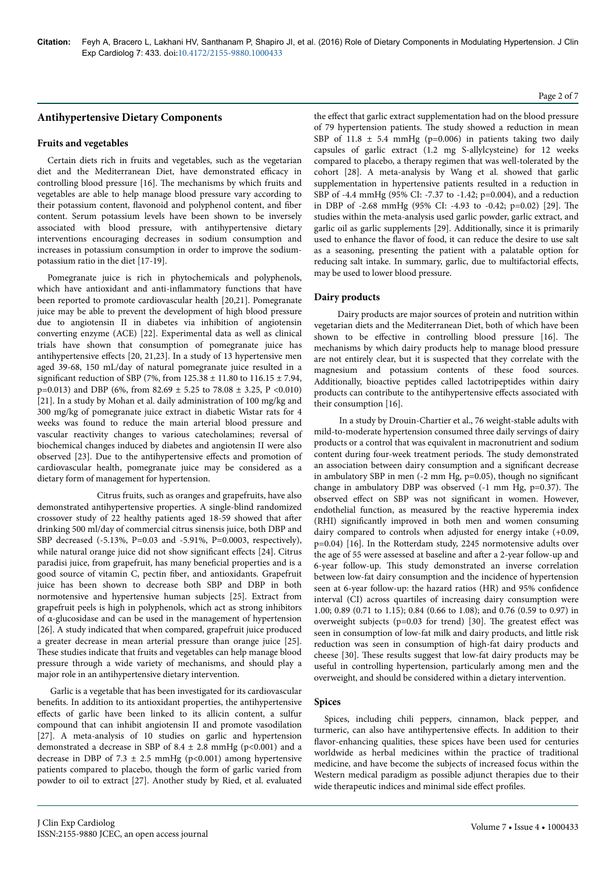# **Antihypertensive Dietary Components**

# **Fruits and vegetables**

Certain diets rich in fruits and vegetables, such as the vegetarian diet and the Mediterranean Diet, have demonstrated efficacy in controlling blood pressure [16]. Нe mechanisms by which fruits and vegetables are able to help manage blood pressure vary according to their potassium content, flavonoid and polyphenol content, and fiber content. Serum potassium levels have been shown to be inversely associated with blood pressure, with antihypertensive dietary interventions encouraging decreases in sodium consumption and increases in potassium consumption in order to improve the sodiumpotassium ratio in the diet [17-19].

Pomegranate juice is rich in phytochemicals and polyphenols, which have antioxidant and anti-inflammatory functions that have been reported to promote cardiovascular health [20,21]. Pomegranate juice may be able to prevent the development of high blood pressure due to angiotensin II in diabetes via inhibition of angiotensin converting enzyme (ACE) [22]. Experimental data as well as clinical trials have shown that consumption of pomegranate juice has antihypertensive effects  $[20, 21, 23]$ . In a study of 13 hypertensive men aged 39-68, 150 mL/day of natural pomegranate juice resulted in a significant reduction of SBP (7%, from 125.38 ± 11.80 to 116.15 ± 7.94, p=0.013) and DBP (6%, from 82.69 ± 5.25 to 78.08 ± 3.25, P <0.010) [21]. In a study by Mohan et al. daily administration of 100 mg/kg and 300 mg/kg of pomegranate juice extract in diabetic Wistar rats for 4 weeks was found to reduce the main arterial blood pressure and vascular reactivity changes to various catecholamines; reversal of biochemical changes induced by diabetes and angiotensin II were also observed [23]. Due to the antihypertensive effects and promotion of cardiovascular health, pomegranate juice may be considered as a dietary form of management for hypertension.

Citrus fruits, such as oranges and grapefruits, have also demonstrated antihypertensive properties. A single-blind randomized crossover study of 22 healthy patients aged 18-59 showed that after drinking 500 ml/day of commercial citrus sinensis juice, both DBP and SBP decreased (-5.13%, P=0.03 and -5.91%, P=0.0003, respectively), while natural orange juice did not show significant effects [24]. Citrus paradisi juice, from grapefruit, has many beneficial properties and is a good source of vitamin C, pectin fiber, and antioxidants. Grapefruit juice has been shown to decrease both SBP and DBP in both normotensive and hypertensive human subjects [25]. Extract from grapefruit peels is high in polyphenols, which act as strong inhibitors of α-glucosidase and can be used in the management of hypertension [26]. A study indicated that when compared, grapefruit juice produced a greater decrease in mean arterial pressure than orange juice [25]. These studies indicate that fruits and vegetables can help manage blood pressure through a wide variety of mechanisms, and should play a major role in an antihypertensive dietary intervention.

Garlic is a vegetable that has been investigated for its cardiovascular benefits. In addition to its antioxidant properties, the antihypertensive effects of garlic have been linked to its allicin content, a sulfur compound that can inhibit angiotensin II and promote vasodilation [27]. A meta-analysis of 10 studies on garlic and hypertension demonstrated a decrease in SBP of  $8.4 \pm 2.8$  mmHg (p<0.001) and a decrease in DBP of 7.3  $\pm$  2.5 mmHg (p<0.001) among hypertensive patients compared to placebo, though the form of garlic varied from powder to oil to extract [27]. Another study by Ried, et al. evaluated

the effect that garlic extract supplementation had on the blood pressure of 79 hypertension patients. Нe study showed a reduction in mean SBP of 11.8  $\pm$  5.4 mmHg (p=0.006) in patients taking two daily capsules of garlic extract (1.2 mg S-allylcysteine) for 12 weeks compared to placebo, a therapy regimen that was well-tolerated by the cohort [28]. A meta-analysis by Wang et al. showed that garlic supplementation in hypertensive patients resulted in a reduction in SBP of -4.4 mmHg (95% CI: -7.37 to -1.42; p=0.004), and a reduction in DBP of -2.68 mmHg (95% CI: -4.93 to -0.42; p=0.02) [29]. Нe studies within the meta-analysis used garlic powder, garlic extract, and garlic oil as garlic supplements [29]. Additionally, since it is primarily used to enhance the flavor of food, it can reduce the desire to use salt as a seasoning, presenting the patient with a palatable option for reducing salt intake. In summary, garlic, due to multifactorial effects, may be used to lower blood pressure.

#### **Dairy products**

Dairy products are major sources of protein and nutrition within vegetarian diets and the Mediterranean Diet, both of which have been shown to be effective in controlling blood pressure [16]. The mechanisms by which dairy products help to manage blood pressure are not entirely clear, but it is suspected that they correlate with the magnesium and potassium contents of these food sources. Additionally, bioactive peptides called lactotripeptides within dairy products can contribute to the antihypertensive effects associated with their consumption [16].

In a study by Drouin-Chartier et al., 76 weight-stable adults with mild-to-moderate hypertension consumed three daily servings of dairy products or a control that was equivalent in macronutrient and sodium content during four-week treatment periods. Нe study demonstrated an association between dairy consumption and a significant decrease in ambulatory SBP in men (-2 mm Hg, p=0.05), though no significant change in ambulatory DBP was observed  $(-1 \text{ mm Hg}, p=0.37)$ . The observed effect on SBP was not significant in women. However, endothelial function, as measured by the reactive hyperemia index (RHI) significantly improved in both men and women consuming dairy compared to controls when adjusted for energy intake (+0.09, p=0.04) [16]. In the Rotterdam study, 2245 normotensive adults over the age of 55 were assessed at baseline and after a 2-year follow-up and 6-year follow-up. Нis study demonstrated an inverse correlation between low-fat dairy consumption and the incidence of hypertension seen at 6-year follow-up: the hazard ratios (HR) and 95% confidence interval (CI) across quartiles of increasing dairy consumption were 1.00; 0.89 (0.71 to 1.15); 0.84 (0.66 to 1.08); and 0.76 (0.59 to 0.97) in overweight subjects ( $p=0.03$  for trend) [30]. The greatest effect was seen in consumption of low-fat milk and dairy products, and little risk reduction was seen in consumption of high-fat dairy products and cheese [30]. Нese results suggest that low-fat dairy products may be useful in controlling hypertension, particularly among men and the overweight, and should be considered within a dietary intervention.

#### **Spices**

Spices, including chili peppers, cinnamon, black pepper, and turmeric, can also have antihypertensive effects. In addition to their flavor-enhancing qualities, these spices have been used for centuries worldwide as herbal medicines within the practice of traditional medicine, and have become the subjects of increased focus within the Western medical paradigm as possible adjunct therapies due to their wide therapeutic indices and minimal side effect profiles.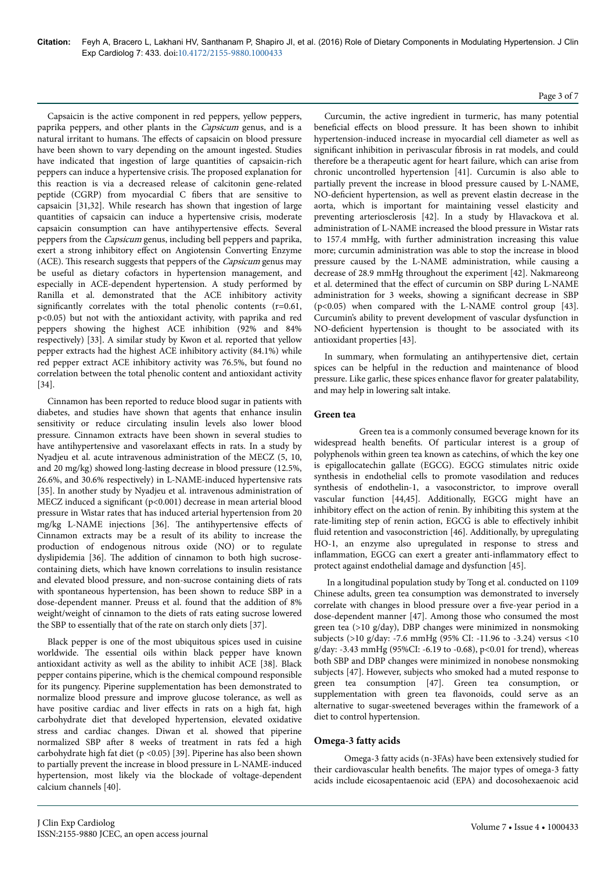Capsaicin is the active component in red peppers, yellow peppers, paprika peppers, and other plants in the Capsicum genus, and is a natural irritant to humans. The effects of capsaicin on blood pressure have been shown to vary depending on the amount ingested. Studies have indicated that ingestion of large quantities of capsaicin-rich peppers can induce a hypertensive crisis. Нe proposed explanation for this reaction is via a decreased release of calcitonin gene-related peptide (CGRP) from myocardial C fibers that are sensitive to capsaicin [31,32]. While research has shown that ingestion of large quantities of capsaicin can induce a hypertensive crisis, moderate capsaicin consumption can have antihypertensive effects. Several peppers from the Capsicum genus, including bell peppers and paprika, exert a strong inhibitory effect on Angiotensin Converting Enzyme (ACE). Нis research suggests that peppers of the Capsicum genus may be useful as dietary cofactors in hypertension management, and especially in ACE-dependent hypertension. A study performed by Ranilla et al. demonstrated that the ACE inhibitory activity significantly correlates with the total phenolic contents (r=0.61, p<0.05) but not with the antioxidant activity, with paprika and red peppers showing the highest ACE inhibition (92% and 84% respectively) [33]. A similar study by Kwon et al. reported that yellow pepper extracts had the highest ACE inhibitory activity (84.1%) while red pepper extract ACE inhibitory activity was 76.5%, but found no correlation between the total phenolic content and antioxidant activity [34].

Cinnamon has been reported to reduce blood sugar in patients with diabetes, and studies have shown that agents that enhance insulin sensitivity or reduce circulating insulin levels also lower blood pressure. Cinnamon extracts have been shown in several studies to have antihypertensive and vasorelaxant effects in rats. In a study by Nyadjeu et al. acute intravenous administration of the MECZ (5, 10, and 20 mg/kg) showed long-lasting decrease in blood pressure (12.5%, 26.6%, and 30.6% respectively) in L-NAME-induced hypertensive rats [35]. In another study by Nyadjeu et al. intravenous administration of MECZ induced a significant (p<0.001) decrease in mean arterial blood pressure in Wistar rates that has induced arterial hypertension from 20 mg/kg L-NAME injections [36]. The antihypertensive effects of Cinnamon extracts may be a result of its ability to increase the production of endogenous nitrous oxide (NO) or to regulate dyslipidemia [36]. Нe addition of cinnamon to both high sucrosecontaining diets, which have known correlations to insulin resistance and elevated blood pressure, and non-sucrose containing diets of rats with spontaneous hypertension, has been shown to reduce SBP in a dose-dependent manner. Preuss et al. found that the addition of 8% weight/weight of cinnamon to the diets of rats eating sucrose lowered the SBP to essentially that of the rate on starch only diets [37].

Black pepper is one of the most ubiquitous spices used in cuisine worldwide. Нe essential oils within black pepper have known antioxidant activity as well as the ability to inhibit ACE [38]. Black pepper contains piperine, which is the chemical compound responsible for its pungency. Piperine supplementation has been demonstrated to normalize blood pressure and improve glucose tolerance, as well as have positive cardiac and liver effects in rats on a high fat, high carbohydrate diet that developed hypertension, elevated oxidative stress and cardiac changes. Diwan et al. showed that piperine normalized SBP after 8 weeks of treatment in rats fed a high carbohydrate high fat diet (p <0.05) [39]. Piperine has also been shown to partially prevent the increase in blood pressure in L-NAME-induced hypertension, most likely via the blockade of voltage-dependent calcium channels [40].

Curcumin, the active ingredient in turmeric, has many potential beneficial effects on blood pressure. It has been shown to inhibit hypertension-induced increase in myocardial cell diameter as well as significant inhibition in perivascular fibrosis in rat models, and could therefore be a therapeutic agent for heart failure, which can arise from chronic uncontrolled hypertension [41]. Curcumin is also able to partially prevent the increase in blood pressure caused by L-NAME, NO-deficient hypertension, as well as prevent elastin decrease in the aorta, which is important for maintaining vessel elasticity and preventing arteriosclerosis [42]. In a study by Hlavackova et al. administration of L-NAME increased the blood pressure in Wistar rats to 157.4 mmHg, with further administration increasing this value more; curcumin administration was able to stop the increase in blood pressure caused by the L-NAME administration, while causing a decrease of 28.9 mmHg throughout the experiment [42]. Nakmareong et al. determined that the effect of curcumin on SBP during L-NAME administration for 3 weeks, showing a significant decrease in SBP (p<0.05) when compared with the L-NAME control group [43]. Curcumin's ability to prevent development of vascular dysfunction in NO-deficient hypertension is thought to be associated with its antioxidant properties [43].

In summary, when formulating an antihypertensive diet, certain spices can be helpful in the reduction and maintenance of blood pressure. Like garlic, these spices enhance flavor for greater palatability, and may help in lowering salt intake.

#### **Green tea**

Green tea is a commonly consumed beverage known for its widespread health benefits. Of particular interest is a group of polyphenols within green tea known as catechins, of which the key one is epigallocatechin gallate (EGCG). EGCG stimulates nitric oxide synthesis in endothelial cells to promote vasodilation and reduces synthesis of endothelin-1, a vasoconstrictor, to improve overall vascular function [44,45]. Additionally, EGCG might have an inhibitory effect on the action of renin. By inhibiting this system at the rate-limiting step of renin action, EGCG is able to effectively inhibit fluid retention and vasoconstriction [46]. Additionally, by upregulating HO-1, an enzyme also upregulated in response to stress and inflammation, EGCG can exert a greater anti-inflammatory effect to protect against endothelial damage and dysfunction [45].

In a longitudinal population study by Tong et al. conducted on 1109 Chinese adults, green tea consumption was demonstrated to inversely correlate with changes in blood pressure over a five-year period in a dose-dependent manner [47]. Among those who consumed the most green tea (>10 g/day), DBP changes were minimized in nonsmoking subjects (>10 g/day: -7.6 mmHg (95% CI: -11.96 to -3.24) versus <10 g/day: -3.43 mmHg (95%CI: -6.19 to -0.68), p<0.01 for trend), whereas both SBP and DBP changes were minimized in nonobese nonsmoking subjects [47]. However, subjects who smoked had a muted response to green tea consumption [47]. Green tea consumption, or supplementation with green tea flavonoids, could serve as an alternative to sugar-sweetened beverages within the framework of a diet to control hypertension.

#### **Omega-3 fatty acids**

Omega-3 fatty acids (n-3FAs) have been extensively studied for their cardiovascular health benefits. Нe major types of omega-3 fatty acids include eicosapentaenoic acid (EPA) and docosohexaenoic acid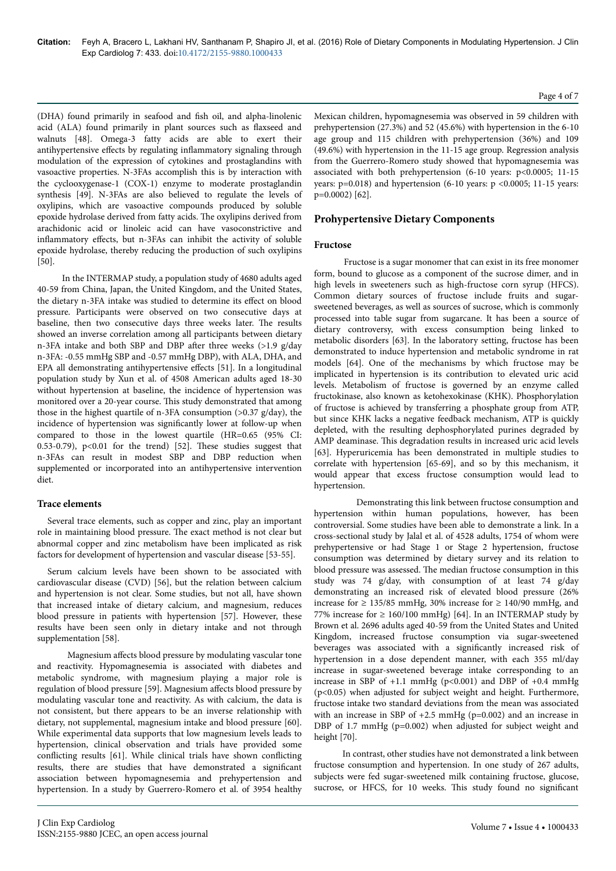#### (DHA) found primarily in seafood and fish oil, and alpha-linolenic acid (ALA) found primarily in plant sources such as flaxseed and walnuts [48]. Omega-3 fatty acids are able to exert their antihypertensive effects by regulating inflammatory signaling through modulation of the expression of cytokines and prostaglandins with vasoactive properties. N-3FAs accomplish this is by interaction with the cyclooxygenase-1 (COX-1) enzyme to moderate prostaglandin synthesis [49]. N-3FAs are also believed to regulate the levels of oxylipins, which are vasoactive compounds produced by soluble epoxide hydrolase derived from fatty acids. Нe oxylipins derived from arachidonic acid or linoleic acid can have vasoconstrictive and inflammatory effects, but n-3FAs can inhibit the activity of soluble epoxide hydrolase, thereby reducing the production of such oxylipins [50].

In the INTERMAP study, a population study of 4680 adults aged 40-59 from China, Japan, the United Kingdom, and the United States, the dietary n-3FA intake was studied to determine its effect on blood pressure. Participants were observed on two consecutive days at baseline, then two consecutive days three weeks later. Нe results showed an inverse correlation among all participants between dietary n-3FA intake and both SBP and DBP after three weeks (>1.9 g/day n-3FA: -0.55 mmHg SBP and -0.57 mmHg DBP), with ALA, DHA, and EPA all demonstrating antihypertensive effects [51]. In a longitudinal population study by Xun et al. of 4508 American adults aged 18-30 without hypertension at baseline, the incidence of hypertension was monitored over a 20-year course. Нis study demonstrated that among those in the highest quartile of n-3FA consumption (>0.37 g/day), the incidence of hypertension was significantly lower at follow-up when compared to those in the lowest quartile (HR=0.65 (95% CI: 0.53-0.79), p<0.01 for the trend) [52]. These studies suggest that n-3FAs can result in modest SBP and DBP reduction when supplemented or incorporated into an antihypertensive intervention diet.

# **Trace elements**

Several trace elements, such as copper and zinc, play an important role in maintaining blood pressure. Нe exact method is not clear but abnormal copper and zinc metabolism have been implicated as risk factors for development of hypertension and vascular disease [53-55].

Serum calcium levels have been shown to be associated with cardiovascular disease (CVD) [56], but the relation between calcium and hypertension is not clear. Some studies, but not all, have shown that increased intake of dietary calcium, and magnesium, reduces blood pressure in patients with hypertension [57]. However, these results have been seen only in dietary intake and not through supplementation [58].

Magnesium affects blood pressure by modulating vascular tone and reactivity. Hypomagnesemia is associated with diabetes and metabolic syndrome, with magnesium playing a major role is regulation of blood pressure [59]. Magnesium affects blood pressure by modulating vascular tone and reactivity. As with calcium, the data is not consistent, but there appears to be an inverse relationship with dietary, not supplemental, magnesium intake and blood pressure [60]. While experimental data supports that low magnesium levels leads to hypertension, clinical observation and trials have provided some conflicting results [61]. While clinical trials have shown conflicting results, there are studies that have demonstrated a significant association between hypomagnesemia and prehypertension and hypertension. In a study by Guerrero-Romero et al. of 3954 healthy

Mexican children, hypomagnesemia was observed in 59 children with prehypertension (27.3%) and 52 (45.6%) with hypertension in the 6-10 age group and 115 children with prehypertension (36%) and 109 (49.6%) with hypertension in the 11-15 age group. Regression analysis from the Guerrero-Romero study showed that hypomagnesemia was associated with both prehypertension (6-10 years: p<0.0005; 11-15 years:  $p=0.018$ ) and hypertension (6-10 years:  $p < 0.0005$ ; 11-15 years: p=0.0002) [62].

# **Prohypertensive Dietary Components**

# **Fructose**

Fructose is a sugar monomer that can exist in its free monomer form, bound to glucose as a component of the sucrose dimer, and in high levels in sweeteners such as high-fructose corn syrup (HFCS). Common dietary sources of fructose include fruits and sugarsweetened beverages, as well as sources of sucrose, which is commonly processed into table sugar from sugarcane. It has been a source of dietary controversy, with excess consumption being linked to metabolic disorders [63]. In the laboratory setting, fructose has been demonstrated to induce hypertension and metabolic syndrome in rat models [64]. One of the mechanisms by which fructose may be implicated in hypertension is its contribution to elevated uric acid levels. Metabolism of fructose is governed by an enzyme called fructokinase, also known as ketohexokinase (KHK). Phosphorylation of fructose is achieved by transferring a phosphate group from ATP, but since KHK lacks a negative feedback mechanism, ATP is quickly depleted, with the resulting dephosphorylated purines degraded by AMP deaminase. Нis degradation results in increased uric acid levels [63]. Hyperuricemia has been demonstrated in multiple studies to correlate with hypertension [65-69], and so by this mechanism, it would appear that excess fructose consumption would lead to hypertension.

Demonstrating this link between fructose consumption and hypertension within human populations, however, has been controversial. Some studies have been able to demonstrate a link. In a cross-sectional study by Jalal et al. of 4528 adults, 1754 of whom were prehypertensive or had Stage 1 or Stage 2 hypertension, fructose consumption was determined by dietary survey and its relation to blood pressure was assessed. Нe median fructose consumption in this study was 74 g/day, with consumption of at least 74 g/day demonstrating an increased risk of elevated blood pressure (26% increase for ≥ 135/85 mmHg, 30% increase for ≥ 140/90 mmHg, and 77% increase for  $\geq 160/100$  mmHg) [64]. In an INTERMAP study by Brown et al. 2696 adults aged 40-59 from the United States and United Kingdom, increased fructose consumption via sugar-sweetened beverages was associated with a significantly increased risk of hypertension in a dose dependent manner, with each 355 ml/day increase in sugar-sweetened beverage intake corresponding to an increase in SBP of  $+1.1$  mmHg (p<0.001) and DBP of  $+0.4$  mmHg (p<0.05) when adjusted for subject weight and height. Furthermore, fructose intake two standard deviations from the mean was associated with an increase in SBP of +2.5 mmHg (p=0.002) and an increase in DBP of 1.7 mmHg (p=0.002) when adjusted for subject weight and height [70].

In contrast, other studies have not demonstrated a link between fructose consumption and hypertension. In one study of 267 adults, subjects were fed sugar-sweetened milk containing fructose, glucose, sucrose, or HFCS, for 10 weeks. Нis study found no significant

#### Page 4 of 7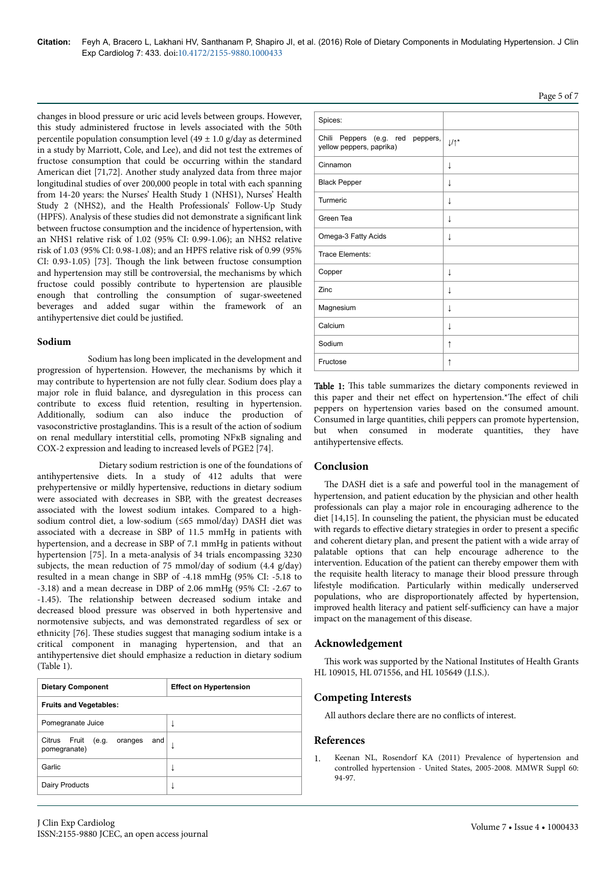changes in blood pressure or uric acid levels between groups. However, this study administered fructose in levels associated with the 50th percentile population consumption level  $(49 \pm 1.0 \text{ g/day})$  as determined in a study by Marriott, Cole, and Lee), and did not test the extremes of fructose consumption that could be occurring within the standard American diet [71,72]. Another study analyzed data from three major longitudinal studies of over 200,000 people in total with each spanning from 14-20 years: the Nurses' Health Study 1 (NHS1), Nurses' Health Study 2 (NHS2), and the Health Professionals' Follow-Up Study (HPFS). Analysis of these studies did not demonstrate a significant link between fructose consumption and the incidence of hypertension, with an NHS1 relative risk of 1.02 (95% CI: 0.99-1.06); an NHS2 relative risk of 1.03 (95% CI: 0.98-1.08); and an HPFS relative risk of 0.99 (95% CI: 0.93-1.05) [73]. Нough the link between fructose consumption and hypertension may still be controversial, the mechanisms by which fructose could possibly contribute to hypertension are plausible enough that controlling the consumption of sugar-sweetened beverages and added sugar within the framework of an antihypertensive diet could be justified.

# **Sodium**

Sodium has long been implicated in the development and progression of hypertension. However, the mechanisms by which it may contribute to hypertension are not fully clear. Sodium does play a major role in fluid balance, and dysregulation in this process can contribute to excess fluid retention, resulting in hypertension. Additionally, sodium can also induce the production of vasoconstrictive prostaglandins. Нis is a result of the action of sodium on renal medullary interstitial cells, promoting NFҡB signaling and COX-2 expression and leading to increased levels of PGE2 [74].

Dietary sodium restriction is one of the foundations of antihypertensive diets. In a study of 412 adults that were prehypertensive or mildly hypertensive, reductions in dietary sodium were associated with decreases in SBP, with the greatest decreases associated with the lowest sodium intakes. Compared to a highsodium control diet, a low-sodium (≤65 mmol/day) DASH diet was associated with a decrease in SBP of 11.5 mmHg in patients with hypertension, and a decrease in SBP of 7.1 mmHg in patients without hypertension [75]. In a meta-analysis of 34 trials encompassing 3230 subjects, the mean reduction of 75 mmol/day of sodium (4.4 g/day) resulted in a mean change in SBP of -4.18 mmHg (95% CI: -5.18 to -3.18) and a mean decrease in DBP of 2.06 mmHg (95% CI: -2.67 to -1.45). Нe relationship between decreased sodium intake and decreased blood pressure was observed in both hypertensive and normotensive subjects, and was demonstrated regardless of sex or ethnicity [76]. Нese studies suggest that managing sodium intake is a critical component in managing hypertension, and that an antihypertensive diet should emphasize a reduction in dietary sodium (Table 1).

| <b>Dietary Component</b>                             | <b>Effect on Hypertension</b> |
|------------------------------------------------------|-------------------------------|
| <b>Fruits and Vegetables:</b>                        |                               |
| Pomegranate Juice                                    |                               |
| Citrus Fruit (e.g.<br>and<br>oranges<br>pomegranate) | ↓                             |
| Garlic                                               | ↓                             |
| Dairy Products                                       |                               |

| Spices:                                                            |         |
|--------------------------------------------------------------------|---------|
| Chili<br>Peppers (e.g. red<br>peppers,<br>yellow peppers, paprika) | $1/1$ * |
| Cinnamon                                                           | ↓       |
| <b>Black Pepper</b>                                                | ↓       |
| Turmeric                                                           | ↓       |
| Green Tea                                                          | ↓       |
| Omega-3 Fatty Acids                                                | ↓       |
| Trace Elements:                                                    |         |
| Copper                                                             | ↓       |
| Zinc                                                               | ↓       |
| Magnesium                                                          | ↓       |
| Calcium                                                            | ↓       |
| Sodium                                                             | ↑       |
| Fructose                                                           | ↑       |
|                                                                    |         |

Table 1: This table summarizes the dietary components reviewed in this paper and their net effect on hypertension.\*The effect of chili peppers on hypertension varies based on the consumed amount. Consumed in large quantities, chili peppers can promote hypertension, but when consumed in moderate quantities, they have antihypertensive effects.

# **Conclusion**

The DASH diet is a safe and powerful tool in the management of hypertension, and patient education by the physician and other health professionals can play a major role in encouraging adherence to the diet [14,15]. In counseling the patient, the physician must be educated with regards to effective dietary strategies in order to present a specific and coherent dietary plan, and present the patient with a wide array of palatable options that can help encourage adherence to the intervention. Education of the patient can thereby empower them with the requisite health literacy to manage their blood pressure through lifestyle modification. Particularly within medically underserved populations, who are disproportionately affected by hypertension, improved health literacy and patient self-sufficiency can have a major impact on the management of this disease.

#### **Acknowledgement**

This work was supported by the National Institutes of Health Grants HL 109015, HL 071556, and HL 105649 (J.I.S.).

# **Competing Interests**

All authors declare there are no conflicts of interest.

# **References**

1. [Keenan NL, Rosendorf KA \(2011\) Prevalence of hypertension and](http://www.ncbi.nlm.nih.gov/pubmed/21430632) [controlled hypertension - United States, 2005-2008. MMWR Suppl 60:](http://www.ncbi.nlm.nih.gov/pubmed/21430632) [94-97.](http://www.ncbi.nlm.nih.gov/pubmed/21430632)

Page 5 of 7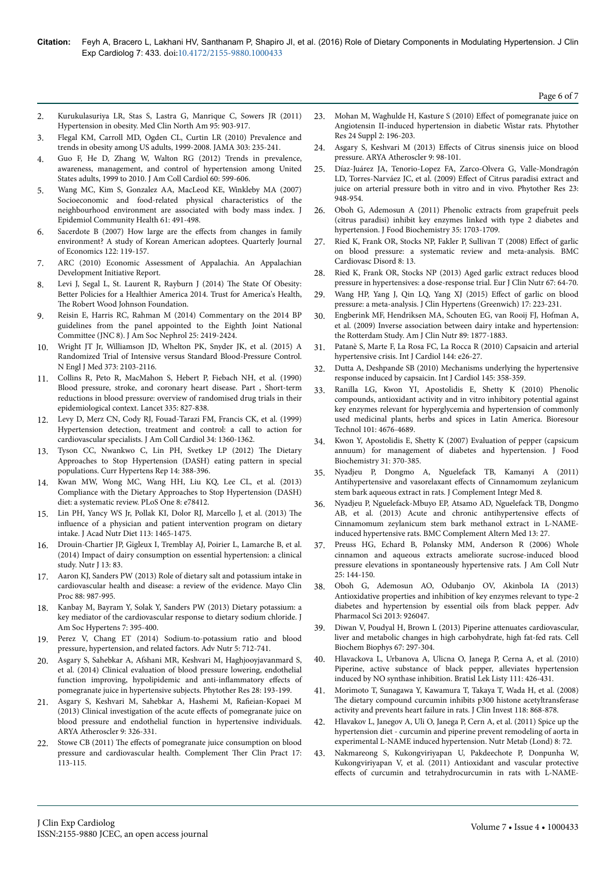- 2. [Kurukulasuriya LR, Stas S, Lastra G, Manrique C, Sowers JR \(2011\)](http://www.ncbi.nlm.nih.gov/pubmed/21855699) [Hypertension in obesity. Med Clin North Am 95: 903-917.](http://www.ncbi.nlm.nih.gov/pubmed/21855699)
- 3. [Flegal KM, Carroll MD, Ogden CL, Curtin LR \(2010\) Prevalence and](http://www.ncbi.nlm.nih.gov/pubmed/20071471) [trends in obesity among US adults, 1999-2008. JAMA 303: 235-241.](http://www.ncbi.nlm.nih.gov/pubmed/20071471)
- 4. [Guo F, He D, Zhang W, Walton RG \(2012\) Trends in prevalence,](http://www.ncbi.nlm.nih.gov/pubmed/22796254) [awareness, management, and control of hypertension among United](http://www.ncbi.nlm.nih.gov/pubmed/22796254) [States adults, 1999 to 2010. J Am Coll Cardiol 60: 599-606.](http://www.ncbi.nlm.nih.gov/pubmed/22796254)
- 5. [Wang MC, Kim S, Gonzalez AA, MacLeod KE, Winkleby MA \(2007\)](http://www.ncbi.nlm.nih.gov/pubmed/17496257) [Socioeconomic and food-related physical characteristics of the](http://www.ncbi.nlm.nih.gov/pubmed/17496257) [neighbourhood environment are associated with body mass index. J](http://www.ncbi.nlm.nih.gov/pubmed/17496257) [Epidemiol Community Health 61: 491-498.](http://www.ncbi.nlm.nih.gov/pubmed/17496257)
- 6. [Sacerdote B \(2007\) How large are the](http://qje.oxfordjournals.org/content/122/1/119.short) effects from changes in family [environment? A study of Korean American adoptees. Quarterly Journal](http://qje.oxfordjournals.org/content/122/1/119.short) [of Economics 122: 119-157.](http://qje.oxfordjournals.org/content/122/1/119.short)
- 7. [ARC \(2010\) Economic Assessment of Appalachia. An Appalachian](http://scholar.google.co.in/scholar?hl=en&q=Economic+Assessment+of+Appalachia.+An+Appalachian+Development+Initiative+Report&btnG=) [Development Initiative Report.](http://scholar.google.co.in/scholar?hl=en&q=Economic+Assessment+of+Appalachia.+An+Appalachian+Development+Initiative+Report&btnG=)
- 8. Levi J, Segal L, St. Laurent R, Rayburn J (2014) The State Of Obesity: Better Policies for a Healthier America 2014. Trust for America's Health, The Robert Wood Johnson Foundation.
- 9. [Reisin E, Harris RC, Rahman M \(2014\) Commentary on the 2014 BP](http://www.ncbi.nlm.nih.gov/pubmed/25114277) [guidelines from the panel appointed to the Eighth Joint National](http://www.ncbi.nlm.nih.gov/pubmed/25114277) [Committee \(JNC 8\). J Am Soc Nephrol 25: 2419-2424.](http://www.ncbi.nlm.nih.gov/pubmed/25114277)
- 10. [Wright JT Jr, Williamson JD, Whelton PK, Snyder JK, et al. \(2015\) A](http://www.ncbi.nlm.nih.gov/pubmed/26551272) [Randomized Trial of Intensive versus Standard Blood-Pressure Control.](http://www.ncbi.nlm.nih.gov/pubmed/26551272) [N Engl J Med 373: 2103-2116.](http://www.ncbi.nlm.nih.gov/pubmed/26551272)
- 11. [Collins R, Peto R, MacMahon S, Hebert P, Fiebach NH, et al. \(1990\)](http://www.ncbi.nlm.nih.gov/pubmed/1969567) [Blood pressure, stroke, and coronary heart disease. Part , Short-term](http://www.ncbi.nlm.nih.gov/pubmed/1969567) [reductions in blood pressure: overview of randomised drug trials in their](http://www.ncbi.nlm.nih.gov/pubmed/1969567) [epidemiological context. Lancet 335: 827-838.](http://www.ncbi.nlm.nih.gov/pubmed/1969567)
- 12. [Levy D, Merz CN, Cody RJ, Fouad-Tarazi FM, Francis CK, et al. \(1999\)](http://www.ncbi.nlm.nih.gov/pubmed/10520821) [Hypertension detection, treatment and control: a call to action for](http://www.ncbi.nlm.nih.gov/pubmed/10520821) [cardiovascular specialists. J Am Coll Cardiol 34: 1360-1362.](http://www.ncbi.nlm.nih.gov/pubmed/10520821)
- 13. [Tyson CC, Nwankwo C, Lin PH, Svetkey LP \(2012\)](http://www.ncbi.nlm.nih.gov/pubmed/22846984) Нe Dietary [Approaches to Stop Hypertension \(DASH\) eating pattern in special](http://www.ncbi.nlm.nih.gov/pubmed/22846984) [populations. Curr Hypertens Rep 14: 388-396.](http://www.ncbi.nlm.nih.gov/pubmed/22846984)
- 14. [Kwan MW, Wong MC, Wang HH, Liu KQ, Lee CL, et al. \(2013\)](http://www.ncbi.nlm.nih.gov/pubmed/24205227) [Compliance with the Dietary Approaches to Stop Hypertension \(DASH\)](http://www.ncbi.nlm.nih.gov/pubmed/24205227) [diet: a systematic review. PLoS One 8: e78412.](http://www.ncbi.nlm.nih.gov/pubmed/24205227)
- 15. [Lin PH, Yancy WS Jr, Pollak KI, Dolor RJ, Marcello J, et al. \(2013\)](http://www.ncbi.nlm.nih.gov/pubmed/23999279) Нe influence [of a physician and patient intervention program on dietary](http://www.ncbi.nlm.nih.gov/pubmed/23999279) [intake. J Acad Nutr Diet 113: 1465-1475.](http://www.ncbi.nlm.nih.gov/pubmed/23999279)
- 16. [Drouin-Chartier JP, Gigleux I, Tremblay AJ, Poirier L, Lamarche B, et al.](http://www.ncbi.nlm.nih.gov/pubmed/25123170) [\(2014\) Impact of dairy consumption on essential hypertension: a clinical](http://www.ncbi.nlm.nih.gov/pubmed/25123170) [study. Nutr J 13: 83.](http://www.ncbi.nlm.nih.gov/pubmed/25123170)
- 17. [Aaron KJ, Sanders PW \(2013\) Role of dietary salt and potassium intake in](http://www.ncbi.nlm.nih.gov/pubmed/24001491) [cardiovascular health and disease: a review of the evidence. Mayo Clin](http://www.ncbi.nlm.nih.gov/pubmed/24001491) [Proc 88: 987-995.](http://www.ncbi.nlm.nih.gov/pubmed/24001491)
- 18. [Kanbay M, Bayram Y, Solak Y, Sanders PW \(2013\) Dietary potassium: a](http://www.ncbi.nlm.nih.gov/pubmed/23735420) [key mediator of the cardiovascular response to dietary sodium chloride. J](http://www.ncbi.nlm.nih.gov/pubmed/23735420) [Am Soc Hypertens 7: 395-400.](http://www.ncbi.nlm.nih.gov/pubmed/23735420)
- 19. [Perez V, Chang ET \(2014\) Sodium-to-potassium ratio and blood](http://www.ncbi.nlm.nih.gov/pubmed/25398734) [pressure, hypertension, and related factors. Adv Nutr 5: 712-741.](http://www.ncbi.nlm.nih.gov/pubmed/25398734)
- 20. [Asgary S, Sahebkar A, Afshani MR, Keshvari M, Haghjooyjavanmard S,](http://www.ncbi.nlm.nih.gov/pubmed/23519910) [et al. \(2014\) Clinical evaluation of blood pressure lowering, endothelial](http://www.ncbi.nlm.nih.gov/pubmed/23519910) [function improving, hypolipidemic and](http://www.ncbi.nlm.nih.gov/pubmed/23519910) anti-inflammatory effects of [pomegranate juice in hypertensive subjects. Phytother Res 28: 193-199.](http://www.ncbi.nlm.nih.gov/pubmed/23519910)
- 21. [Asgary S, Keshvari M, Sahebkar A, Hashemi M,](http://www.ncbi.nlm.nih.gov/pubmed/24575134) Rafieian-Kopaei M  $(2013)$  Clinical investigation of the acute effects of pomegranate juice on [blood pressure and endothelial function in hypertensive individuals.](http://www.ncbi.nlm.nih.gov/pubmed/24575134) [ARYA Atheroscler 9: 326-331.](http://www.ncbi.nlm.nih.gov/pubmed/24575134)
- 22. Stowe CB (2011) The effects [of pomegranate juice consumption on blood](http://www.ncbi.nlm.nih.gov/pubmed/21457902) [pressure and cardiovascular health. Complement](http://www.ncbi.nlm.nih.gov/pubmed/21457902) Нer Clin Pract 17: [113-115.](http://www.ncbi.nlm.nih.gov/pubmed/21457902)
- 23. [Mohan M, Waghulde H, Kasture S \(2010\)](http://www.ncbi.nlm.nih.gov/pubmed/20020514) Effect of pomegranate juice on [Angiotensin II-induced hypertension in diabetic Wistar rats. Phytother](http://www.ncbi.nlm.nih.gov/pubmed/20020514) [Res 24 Suppl 2: 196-203.](http://www.ncbi.nlm.nih.gov/pubmed/20020514)
- 24. Asgary S, Keshvari M (2013) Effects [of Citrus sinensis juice on blood](http://www.ncbi.nlm.nih.gov/pubmed/23696766) [pressure. ARYA Atheroscler 9: 98-101.](http://www.ncbi.nlm.nih.gov/pubmed/23696766)
- 25. [Díaz-Juárez JA, Tenorio-Lopez FA, Zarco-Olvera G, Valle-Mondragón](http://www.ncbi.nlm.nih.gov/pubmed/19153985) [LD, Torres-Narváez JC, et al. \(2009\)](http://www.ncbi.nlm.nih.gov/pubmed/19153985) Effect of Citrus paradisi extract and [juice on arterial pressure both in vitro and in vivo. Phytother Res 23:](http://www.ncbi.nlm.nih.gov/pubmed/19153985) [948-954.](http://www.ncbi.nlm.nih.gov/pubmed/19153985)
- 26. [Oboh G, Ademosun A \(2011\) Phenolic extracts from grapefruit peels](http://onlinelibrary.wiley.com/doi/10.1111/j.1745-4514.2010.00495.x/abstract;jsessionid=FE110A26BA9ABA76B2B5D29440CC6348.f04t04?userIsAuthenticated=false&deniedAccessCustomisedMessage=) [\(citrus paradisi\) inhibit key enzymes linked with type 2 diabetes and](http://onlinelibrary.wiley.com/doi/10.1111/j.1745-4514.2010.00495.x/abstract;jsessionid=FE110A26BA9ABA76B2B5D29440CC6348.f04t04?userIsAuthenticated=false&deniedAccessCustomisedMessage=) [hypertension. J Food Biochemistry 35: 1703-1709.](http://onlinelibrary.wiley.com/doi/10.1111/j.1745-4514.2010.00495.x/abstract;jsessionid=FE110A26BA9ABA76B2B5D29440CC6348.f04t04?userIsAuthenticated=false&deniedAccessCustomisedMessage=)
- 27. [Ried K, Frank OR, Stocks NP, Fakler P, Sullivan T \(2008\)](http://www.ncbi.nlm.nih.gov/pubmed/18554422) Effect of garlic [on blood pressure: a systematic review and meta-analysis. BMC](http://www.ncbi.nlm.nih.gov/pubmed/18554422) [Cardiovasc Disord 8: 13.](http://www.ncbi.nlm.nih.gov/pubmed/18554422)
- 28. [Ried K, Frank OR, Stocks NP \(2013\) Aged garlic extract reduces blood](http://www.ncbi.nlm.nih.gov/pubmed/23169470) [pressure in hypertensives: a dose-response trial. Eur J Clin Nutr 67: 64-70.](http://www.ncbi.nlm.nih.gov/pubmed/23169470)
- 29. [Wang HP, Yang J, Qin LQ, Yang XJ \(2015\)](http://www.ncbi.nlm.nih.gov/pubmed/25557383) Effect of garlic on blood [pressure: a meta-analysis. J Clin Hypertens \(Greenwich\) 17: 223-231.](http://www.ncbi.nlm.nih.gov/pubmed/25557383)
- 30. [Engberink MF, Hendriksen MA, Schouten EG, van Rooij FJ, Hofman A,](http://www.ncbi.nlm.nih.gov/pubmed/19369377) [et al. \(2009\) Inverse association between dairy intake and hypertension:](http://www.ncbi.nlm.nih.gov/pubmed/19369377) [the Rotterdam Study. Am J Clin Nutr 89: 1877-1883.](http://www.ncbi.nlm.nih.gov/pubmed/19369377)
- 31. [Patanè S, Marte F, La Rosa FC, La Rocca R \(2010\) Capsaicin and arterial](http://www.ncbi.nlm.nih.gov/pubmed/19168246) [hypertensive crisis. Int J Cardiol 144: e26-27.](http://www.ncbi.nlm.nih.gov/pubmed/19168246)
- 32. [Dutta A, Deshpande SB \(2010\) Mechanisms underlying the hypertensive](http://www.ncbi.nlm.nih.gov/pubmed/20223533) [response induced by capsaicin. Int J Cardiol 145: 358-359.](http://www.ncbi.nlm.nih.gov/pubmed/20223533)
- 33. [Ranilla LG, Kwon YI, Apostolidis E, Shetty K \(2010\) Phenolic](http://www.ncbi.nlm.nih.gov/pubmed/20185303) [compounds, antioxidant activity and in vitro inhibitory potential against](http://www.ncbi.nlm.nih.gov/pubmed/20185303) [key enzymes relevant for hyperglycemia and hypertension of commonly](http://www.ncbi.nlm.nih.gov/pubmed/20185303) [used medicinal plants, herbs and spices in Latin America. Bioresour](http://www.ncbi.nlm.nih.gov/pubmed/20185303) [Technol 101: 4676-4689.](http://www.ncbi.nlm.nih.gov/pubmed/20185303)
- 34. [Kwon Y, Apostolidis E, Shetty K \(2007\) Evaluation of pepper \(capsicum](https://www.researchgate.net/publication/227713122_Evaluation_of_pepper_Capsicum_annuum_for_management_of_diabetes_and_hypertension) [annuum\) for management of diabetes and hypertension. J Food](https://www.researchgate.net/publication/227713122_Evaluation_of_pepper_Capsicum_annuum_for_management_of_diabetes_and_hypertension) [Biochemistry 31: 370-385.](https://www.researchgate.net/publication/227713122_Evaluation_of_pepper_Capsicum_annuum_for_management_of_diabetes_and_hypertension)
- 35. [Nyadjeu P, Dongmo A, Nguelefack TB, Kamanyi A \(2011\)](http://www.ncbi.nlm.nih.gov/pubmed/22754922) [Antihypertensive and vasorelaxant](http://www.ncbi.nlm.nih.gov/pubmed/22754922) effects of Cinnamomum zeylanicum [stem bark aqueous extract in rats. J Complement Integr Med 8.](http://www.ncbi.nlm.nih.gov/pubmed/22754922)
- 36. [Nyadjeu P, Nguelefack-Mbuyo EP, Atsamo AD, Nguelefack TB, Dongmo](http://www.ncbi.nlm.nih.gov/pubmed/23368533) [AB, et al. \(2013\) Acute and chronic antihypertensive](http://www.ncbi.nlm.nih.gov/pubmed/23368533) effects of [Cinnamomum zeylanicum stem bark methanol extract in L-NAME](http://www.ncbi.nlm.nih.gov/pubmed/23368533)[induced hypertensive rats. BMC Complement Altern Med 13: 27.](http://www.ncbi.nlm.nih.gov/pubmed/23368533)
- 37. [Preuss HG, Echard B, Polansky MM, Anderson R \(2006\) Whole](http://www.ncbi.nlm.nih.gov/pubmed/16582031) [cinnamon and aqueous extracts ameliorate sucrose-induced blood](http://www.ncbi.nlm.nih.gov/pubmed/16582031) [pressure elevations in spontaneously hypertensive rats. J Am Coll Nutr](http://www.ncbi.nlm.nih.gov/pubmed/16582031) [25: 144-150.](http://www.ncbi.nlm.nih.gov/pubmed/16582031)
- 38. [Oboh G, Ademosun AO, Odubanjo OV, Akinbola IA \(2013\)](http://www.ncbi.nlm.nih.gov/pubmed/24348547) [Antioxidative properties and inhibition of key enzymes relevant to type-2](http://www.ncbi.nlm.nih.gov/pubmed/24348547) [diabetes and hypertension by essential oils from black pepper. Adv](http://www.ncbi.nlm.nih.gov/pubmed/24348547) [Pharmacol Sci 2013: 926047.](http://www.ncbi.nlm.nih.gov/pubmed/24348547)
- 39. [Diwan V, Poudyal H, Brown L \(2013\) Piperine attenuates cardiovascular,](http://www.ncbi.nlm.nih.gov/pubmed/22038304) [liver and metabolic changes in high carbohydrate, high fat-fed rats. Cell](http://www.ncbi.nlm.nih.gov/pubmed/22038304) [Biochem Biophys 67: 297-304.](http://www.ncbi.nlm.nih.gov/pubmed/22038304)
- 40. [Hlavackova L, Urbanova A, Ulicna O, Janega P, Cerna A, et al. \(2010\)](http://www.ncbi.nlm.nih.gov/pubmed/21033621) [Piperine, active substance of black pepper, alleviates hypertension](http://www.ncbi.nlm.nih.gov/pubmed/21033621) [induced by NO synthase inhibition. Bratisl Lek Listy 111: 426-431.](http://www.ncbi.nlm.nih.gov/pubmed/21033621)
- 41. [Morimoto T, Sunagawa Y, Kawamura T, Takaya T, Wada H, et al. \(2008\)](http://www.ncbi.nlm.nih.gov/pubmed/18292809) The [dietary compound curcumin inhibits p300 histone acetyltransferase](http://www.ncbi.nlm.nih.gov/pubmed/18292809) [activity and prevents heart failure in rats. J Clin Invest 118: 868-878.](http://www.ncbi.nlm.nih.gov/pubmed/18292809)
- 42. [Hlavakov L, Janegov A, Uli O, Janega P, Cern A, et al. \(2011\) Spice up the](http://www.ncbi.nlm.nih.gov/pubmed/22005253) [hypertension diet - curcumin and piperine prevent remodeling of aorta in](http://www.ncbi.nlm.nih.gov/pubmed/22005253) [experimental L-NAME induced hypertension. Nutr Metab \(Lond\) 8: 72.](http://www.ncbi.nlm.nih.gov/pubmed/22005253)
- 43. [Nakmareong S, Kukongviriyapan U, Pakdeechote P, Donpunha W,](http://www.ncbi.nlm.nih.gov/pubmed/21448566) [Kukongviriyapan V, et al. \(2011\) Antioxidant and vascular protective](http://www.ncbi.nlm.nih.gov/pubmed/21448566) effects [of curcumin and tetrahydrocurcumin in rats with L-NAME-](http://www.ncbi.nlm.nih.gov/pubmed/21448566)

Page 6 of 7